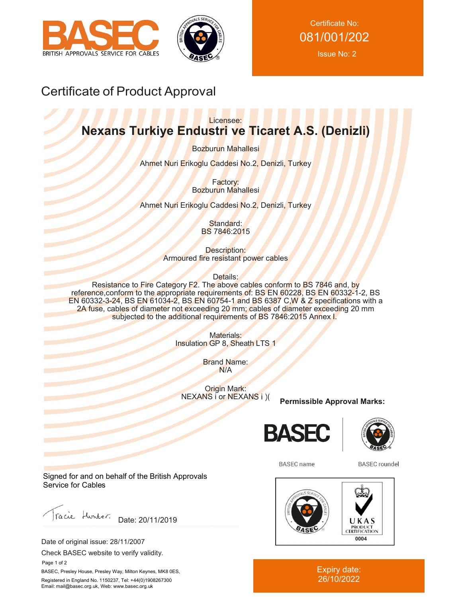



Certificate No: 081/001/202 Issue No: 2

# Certificate of Product Approval

### Licensee: **Nexans Turkiye Endustri ve Ticaret A.S. (Denizli)**

Bozburun Mahallesi

Ahmet Nuri Erikoglu Caddesi No.2, Denizli, Turkey

Factory: Bozburun Mahallesi

Ahmet Nuri Erikoglu Caddesi No.2, Denizli, Turkey

Standard: BS 7846:2015

Description: Armoured fire resistant power cables

Details:

Resistance to Fire Category F2. The above cables conform to BS 7846 and, by reference, conform to the appropriate requirements of: BS EN 60228, BS EN 60332-1-2, BS EN 60332-3-24, BS EN 61034-2, BS EN 60754-1 and BS 6387 C,W & Z specifications with a 2A fuse, cables of diameter not exceeding 20 mm; cables of diameter exceeding 20 mm subjected to the additional requirements of BS 7846:2015 Annex I.

> Materials: Insulation GP 8, Sheath LTS 1

> > Brand Name: N/A

Origin Mark: NEXANS i or NEXANS i )(

**Permissible Approval Marks:**





**BASEC** name

**BASEC** roundel



Expiry date: 26/10/2022

Signed for and on behalf of the British Approvals Service for Cables

racie Hunter. Date: 20/11/2019

Date of original issue: 28/11/2007

Check BASEC website to verify validity.

 Page 1 of 2 BASEC, Presley House, Presley Way, Milton Keynes, MK8 0ES, Registered in England No. 1150237, Tel: +44(0)1908267300 Email: mail@basec.org.uk, Web: www.basec.org.uk